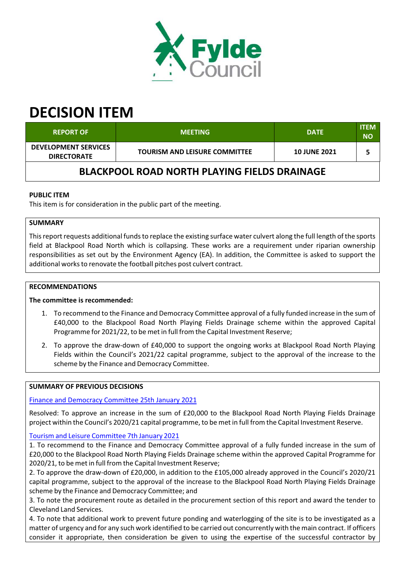

# **DECISION ITEM**

| <b>REPORT OF</b>                                    | <b>MEETING</b>                       | <b>DATE</b>         | <b>ITEM</b><br><b>NO</b> |  |  |
|-----------------------------------------------------|--------------------------------------|---------------------|--------------------------|--|--|
| <b>DEVELOPMENT SERVICES</b><br><b>DIRECTORATE</b>   | <b>TOURISM AND LEISURE COMMITTEE</b> | <b>10 JUNE 2021</b> |                          |  |  |
| <b>BLACKPOOL ROAD NORTH PLAYING FIELDS DRAINAGE</b> |                                      |                     |                          |  |  |

# **PUBLIC ITEM**

This item is for consideration in the public part of the meeting.

# **SUMMARY**

This report requests additional funds to replace the existing surface water culvert along the full length of the sports field at Blackpool Road North which is collapsing. These works are a requirement under riparian ownership responsibilities as set out by the Environment Agency (EA). In addition, the Committee is asked to support the additional works to renovate the football pitches post culvert contract.

## **RECOMMENDATIONS**

#### **The committee is recommended:**

- 1. To recommend to the Finance and Democracy Committee approval of a fully funded increase in the sum of £40,000 to the Blackpool Road North Playing Fields Drainage scheme within the approved Capital Programme for 2021/22, to be met in full from the Capital Investment Reserve;
- 2. To approve the draw-down of £40,000 to support the ongoing works at Blackpool Road North Playing Fields within the Council's 2021/22 capital programme, subject to the approval of the increase to the scheme by the Finance and Democracy Committee.

#### **SUMMARY OF PREVIOUS DECISIONS**

## Finance and Democracy Committee 25th January 2021

Resolved: To approve an increase in the sum of £20,000 to the Blackpool Road North Playing Fields Drainage project within the Council's 2020/21 capital programme, to be met in full from the Capital Investment Reserve.

#### Tourism and Leisure Committee 7th January 2021

1. To recommend to the Finance and Democracy Committee approval of a fully funded increase in the sum of £20,000 to the Blackpool Road North Playing Fields Drainage scheme within the approved Capital Programme for 2020/21, to be met in full from the Capital Investment Reserve;

2. To approve the draw‐down of £20,000, in addition to the £105,000 already approved in the Council's 2020/21 capital programme, subject to the approval of the increase to the Blackpool Road North Playing Fields Drainage scheme by the Finance and Democracy Committee; and

3. To note the procurement route as detailed in the procurement section of this report and award the tender to Cleveland Land Services.

4. To note that additional work to prevent future ponding and waterlogging of the site is to be investigated as a matter of urgency and for any such work identified to be carried out concurrently with the main contract. If officers consider it appropriate, then consideration be given to using the expertise of the successful contractor by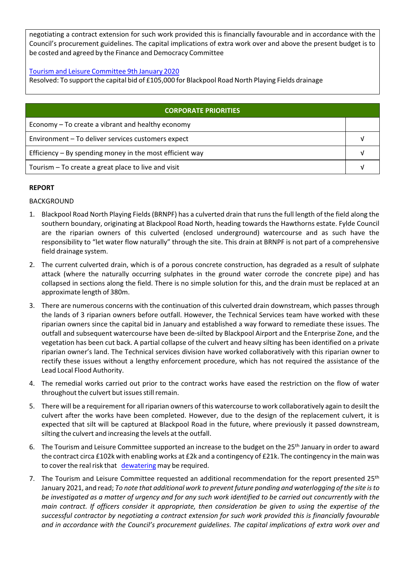negotiating a contract extension for such work provided this is financially favourable and in accordance with the Council's procurement guidelines. The capital implications of extra work over and above the present budget is to be costed and agreed by the Finance and Democracy Committee

Tourism and Leisure Committee 9th January 2020

Resolved: To support the capital bid of £105,000 for Blackpool Road North Playing Fields drainage

| <b>CORPORATE PRIORITIES</b>                                |  |  |
|------------------------------------------------------------|--|--|
| Economy – To create a vibrant and healthy economy          |  |  |
| Environment - To deliver services customers expect         |  |  |
| Efficiency $-$ By spending money in the most efficient way |  |  |
| Tourism – To create a great place to live and visit        |  |  |

## **REPORT**

## BACKGROUND

- 1. Blackpool Road North Playing Fields(BRNPF) has a culverted drain that runsthe full length of the field along the southern boundary, originating at Blackpool Road North, heading towards the Hawthorns estate. Fylde Council are the riparian owners of this culverted (enclosed underground) watercourse and as such have the responsibility to "let water flow naturally" through the site. This drain at BRNPF is not part of a comprehensive field drainage system.
- 2. The current culverted drain, which is of a porous concrete construction, has degraded as a result of sulphate attack (where the naturally occurring sulphates in the ground water corrode the concrete pipe) and has collapsed in sections along the field. There is no simple solution for this, and the drain must be replaced at an approximate length of 380m.
- 3. There are numerous concerns with the continuation of this culverted drain downstream, which passes through the lands of 3 riparian owners before outfall. However, the Technical Services team have worked with these riparian owners since the capital bid in January and established a way forward to remediate these issues. The outfall and subsequent watercourse have been de‐silted by Blackpool Airport and the Enterprise Zone, and the vegetation has been cut back. A partial collapse of the culvert and heavy silting has been identified on a private riparian owner's land. The Technical services division have worked collaboratively with this riparian owner to rectify these issues without a lengthy enforcement procedure, which has not required the assistance of the Lead Local Flood Authority.
- 4. The remedial works carried out prior to the contract works have eased the restriction on the flow of water throughout the culvert but issues still remain.
- 5. There will be a requirement for all riparian owners of this watercourse to work collaboratively again to desilt the culvert after the works have been completed. However, due to the design of the replacement culvert, it is expected that silt will be captured at Blackpool Road in the future, where previously it passed downstream, silting the culvert and increasing the levels at the outfall.
- 6. The Tourism and Leisure Committee supported an increase to the budget on the 25<sup>th</sup> January in order to award the contract circa £102k with enabling works at £2k and a contingency of £21k. The contingency in the main was to cover the real risk that dewatering may be required.
- 7. The Tourism and Leisure Committee requested an additional recommendation for the report presented 25<sup>th</sup> January 2021, and read; *To note that additional work to prevent future ponding and waterlogging of the site isto* be investigated as a matter of urgency and for any such work identified to be carried out concurrently with the main contract. If officers consider it appropriate, then consideration be given to using the expertise of the *successful contractor by negotiating a contract extension for such work provided this is financially favourable and in accordance with the Council's procurement guidelines. The capital implications of extra work over and*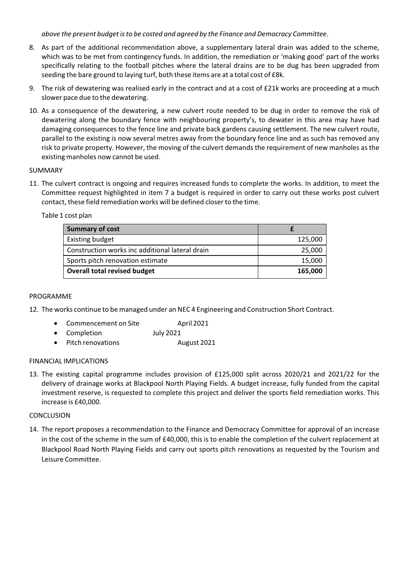*above the present budget isto be costed and agreed by the Finance and Democracy Committee*.

- 8. As part of the additional recommendation above, a supplementary lateral drain was added to the scheme, which was to be met from contingency funds. In addition, the remediation or 'making good' part of the works specifically relating to the football pitches where the lateral drains are to be dug has been upgraded from seeding the bare ground to laying turf, both these items are at a total cost of £8k.
- 9. The risk of dewatering was realised early in the contract and at a cost of £21k works are proceeding at a much slower pace due to the dewatering.
- 10. As a consequence of the dewatering, a new culvert route needed to be dug in order to remove the risk of dewatering along the boundary fence with neighbouring property's, to dewater in this area may have had damaging consequences to the fence line and private back gardens causing settlement. The new culvert route, parallel to the existing is now several metres away from the boundary fence line and as such has removed any risk to private property. However, the moving of the culvert demands the requirement of new manholes as the existing manholes now cannot be used.

## SUMMARY

11. The culvert contract is ongoing and requires increased funds to complete the works. In addition, to meet the Committee request highlighted in item 7 a budget is required in order to carry out these works post culvert contact, these field remediation works will be defined closerto the time.

Table 1 cost plan

| <b>Summary of cost</b>                          |         |
|-------------------------------------------------|---------|
| <b>Existing budget</b>                          | 125,000 |
| Construction works inc additional lateral drain | 25,000  |
| Sports pitch renovation estimate                | 15,000  |
| <b>Overall total revised budget</b>             | 165,000 |

## PROGRAMME

12. The works continue to be managed under an NEC 4 Engineering and Construction Short Contract.

- Commencement on Site April 2021
- Completion July 2021
- Pitch renovations **August 2021**

#### FINANCIAL IMPLICATIONS

13. The existing capital programme includes provision of £125,000 split across 2020/21 and 2021/22 for the delivery of drainage works at Blackpool North Playing Fields. A budget increase, fully funded from the capital investment reserve, is requested to complete this project and deliver the sports field remediation works. This increase is £40,000.

#### CONCLUSION

14. The report proposes a recommendation to the Finance and Democracy Committee for approval of an increase in the cost of the scheme in the sum of £40,000, this is to enable the completion of the culvert replacement at Blackpool Road North Playing Fields and carry out sports pitch renovations as requested by the Tourism and Leisure Committee.